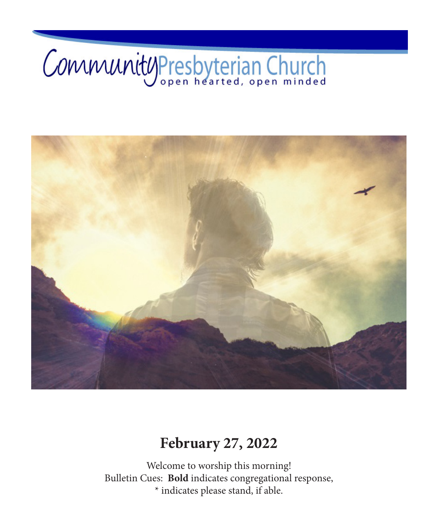# CommunityPresbyterian Church



# **February 27, 2022**

Welcome to worship this morning! Bulletin Cues: **Bold** indicates congregational response,  $^\star$  indicates please stand, if able.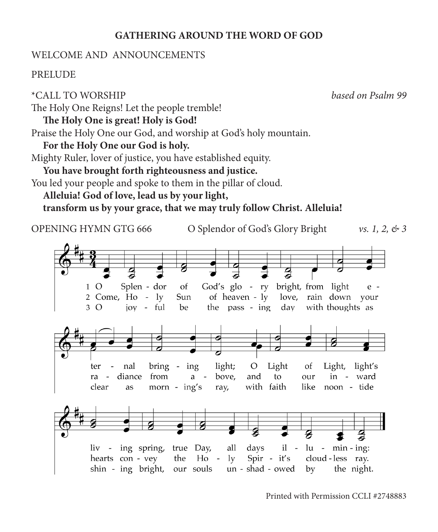# **GATHERING AROUND THE WORD OF GOD**

# WELCOME AND ANNOUNCEMENTS

PRELUDE

\*CALL TO WORSHIP *based on Psalm 99*

The Holy One Reigns! Let the people tremble!

**The Holy One is great! Holy is God!**

Praise the Holy One our God, and worship at God's holy mountain.

# **For the Holy One our God is holy.**

Mighty Ruler, lover of justice, you have established equity.

**You have brought forth righteousness and justice.**

You led your people and spoke to them in the pillar of cloud.

# **Alleluia! God of love, lead us by your light,**

# **transform us by your grace, that we may truly follow Christ. Alleluia!**

OPENING HYMN GTG 666 O Splendor of God's Glory Bright *vs. 1, 2, & 3*



Printed with Permission CCLI #2748883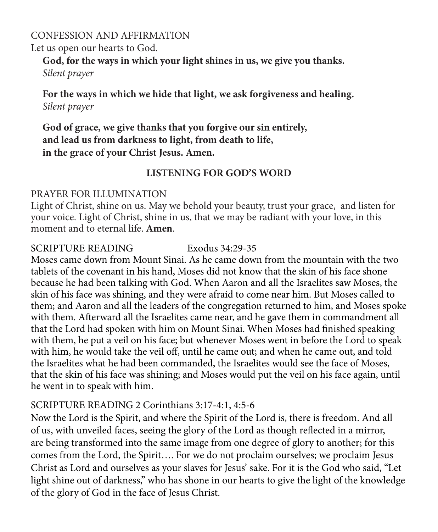# CONFESSION AND AFFIRMATION

Let us open our hearts to God.

**God, for the ways in which your light shines in us, we give you thanks.** *Silent prayer*

**For the ways in which we hide that light, we ask forgiveness and healing.** *Silent prayer*

**God of grace, we give thanks that you forgive our sin entirely, and lead us from darkness to light, from death to life, in the grace of your Christ Jesus. Amen.**

# **LISTENING FOR GOD'S WORD**

# PRAYER FOR ILLUMINATION

Light of Christ, shine on us. May we behold your beauty, trust your grace, and listen for your voice. Light of Christ, shine in us, that we may be radiant with your love, in this moment and to eternal life. **Amen**.

# SCRIPTURE READING Exodus 34:29-35

Moses came down from Mount Sinai. As he came down from the mountain with the two tablets of the covenant in his hand, Moses did not know that the skin of his face shone because he had been talking with God. When Aaron and all the Israelites saw Moses, the skin of his face was shining, and they were afraid to come near him. But Moses called to them; and Aaron and all the leaders of the congregation returned to him, and Moses spoke with them. Afterward all the Israelites came near, and he gave them in commandment all that the Lord had spoken with him on Mount Sinai. When Moses had finished speaking with them, he put a veil on his face; but whenever Moses went in before the Lord to speak with him, he would take the veil off, until he came out; and when he came out, and told the Israelites what he had been commanded, the Israelites would see the face of Moses, that the skin of his face was shining; and Moses would put the veil on his face again, until he went in to speak with him.

# SCRIPTURE READING 2 Corinthians 3:17-4:1, 4:5-6

Now the Lord is the Spirit, and where the Spirit of the Lord is, there is freedom. And all of us, with unveiled faces, seeing the glory of the Lord as though reflected in a mirror, are being transformed into the same image from one degree of glory to another; for this comes from the Lord, the Spirit…. For we do not proclaim ourselves; we proclaim Jesus Christ as Lord and ourselves as your slaves for Jesus' sake. For it is the God who said, "Let light shine out of darkness," who has shone in our hearts to give the light of the knowledge of the glory of God in the face of Jesus Christ.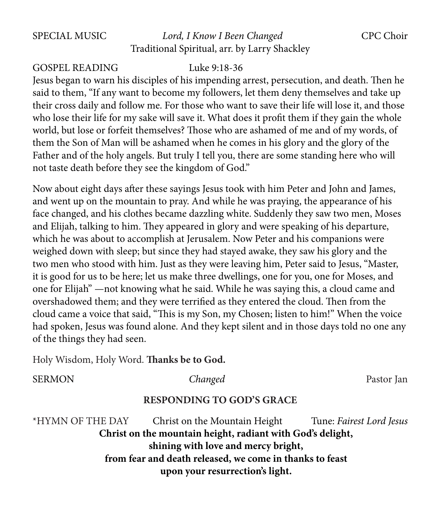# SPECIAL MUSIC *Lord, I Know I Been Changed* CPC Choir Traditional Spiritual, arr. by Larry Shackley

# GOSPEL READING Luke 9:18-36

Jesus began to warn his disciples of his impending arrest, persecution, and death. Then he said to them, "If any want to become my followers, let them deny themselves and take up their cross daily and follow me. For those who want to save their life will lose it, and those who lose their life for my sake will save it. What does it profit them if they gain the whole world, but lose or forfeit themselves? Those who are ashamed of me and of my words, of them the Son of Man will be ashamed when he comes in his glory and the glory of the Father and of the holy angels. But truly I tell you, there are some standing here who will not taste death before they see the kingdom of God."

Now about eight days after these sayings Jesus took with him Peter and John and James, and went up on the mountain to pray. And while he was praying, the appearance of his face changed, and his clothes became dazzling white. Suddenly they saw two men, Moses and Elijah, talking to him. They appeared in glory and were speaking of his departure, which he was about to accomplish at Jerusalem. Now Peter and his companions were weighed down with sleep; but since they had stayed awake, they saw his glory and the two men who stood with him. Just as they were leaving him, Peter said to Jesus, "Master, it is good for us to be here; let us make three dwellings, one for you, one for Moses, and one for Elijah" —not knowing what he said. While he was saying this, a cloud came and overshadowed them; and they were terrified as they entered the cloud. Then from the cloud came a voice that said, "This is my Son, my Chosen; listen to him!" When the voice had spoken, Jesus was found alone. And they kept silent and in those days told no one any of the things they had seen.

Holy Wisdom, Holy Word. **Thanks be to God.**

SERMON *Changed* Pastor Jan

# **RESPONDING TO GOD'S GRACE**

\*HYMN OF THE DAY Christ on the Mountain HeightTune: *Fairest Lord Jesus* **Christ on the mountain height, radiant with God's delight, shining with love and mercy bright, from fear and death released, we come in thanks to feast upon your resurrection's light.**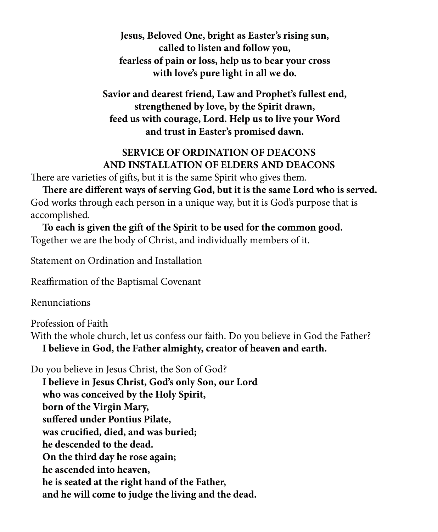**Jesus, Beloved One, bright as Easter's rising sun, called to listen and follow you, fearless of pain or loss, help us to bear your cross with love's pure light in all we do.**

**Savior and dearest friend, Law and Prophet's fullest end, strengthened by love, by the Spirit drawn, feed us with courage, Lord. Help us to live your Word and trust in Easter's promised dawn.**

# **SERVICE OF ORDINATION OF DEACONS AND INSTALLATION OF ELDERS AND DEACONS**

There are varieties of gifts, but it is the same Spirit who gives them.

**There are different ways of serving God, but it is the same Lord who is served.**  God works through each person in a unique way, but it is God's purpose that is accomplished.

**To each is given the gift of the Spirit to be used for the common good.** Together we are the body of Christ, and individually members of it.

Statement on Ordination and Installation

Reaffirmation of the Baptismal Covenant

**Renunciations** 

Profession of Faith

With the whole church, let us confess our faith. Do you believe in God the Father? **I believe in God, the Father almighty, creator of heaven and earth.**

Do you believe in Jesus Christ, the Son of God? **I believe in Jesus Christ, God's only Son, our Lord who was conceived by the Holy Spirit, born of the Virgin Mary, suffered under Pontius Pilate, was crucified, died, and was buried; he descended to the dead. On the third day he rose again; he ascended into heaven, he is seated at the right hand of the Father, and he will come to judge the living and the dead.**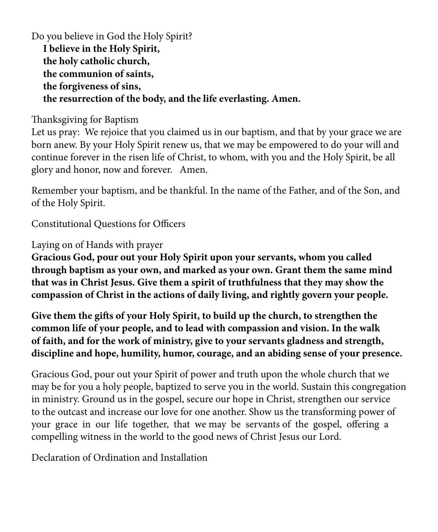Do you believe in God the Holy Spirit? **I believe in the Holy Spirit, the holy catholic church, the communion of saints, the forgiveness of sins, the resurrection of the body, and the life everlasting. Amen.** 

# Thanksgiving for Baptism

Let us pray: We rejoice that you claimed us in our baptism, and that by your grace we are born anew. By your Holy Spirit renew us, that we may be empowered to do your will and continue forever in the risen life of Christ, to whom, with you and the Holy Spirit, be all glory and honor, now and forever. Amen.

Remember your baptism, and be thankful. In the name of the Father, and of the Son, and of the Holy Spirit.

Constitutional Questions for Officers

# Laying on of Hands with prayer

**Gracious God, pour out your Holy Spirit upon your servants, whom you called through baptism as your own, and marked as your own. Grant them the same mind that was in Christ Jesus. Give them a spirit of truthfulness that they may show the compassion of Christ in the actions of daily living, and rightly govern your people.** 

**Give them the gifts of your Holy Spirit, to build up the church, to strengthen the common life of your people, and to lead with compassion and vision. In the walk of faith, and for the work of ministry, give to your servants gladness and strength, discipline and hope, humility, humor, courage, and an abiding sense of your presence.** 

Gracious God, pour out your Spirit of power and truth upon the whole church that we may be for you a holy people, baptized to serve you in the world. Sustain this congregation in ministry. Ground us in the gospel, secure our hope in Christ, strengthen our service to the outcast and increase our love for one another. Show us the transforming power of your grace in our life together, that we may be servants of the gospel, offering a compelling witness in the world to the good news of Christ Jesus our Lord.

Declaration of Ordination and Installation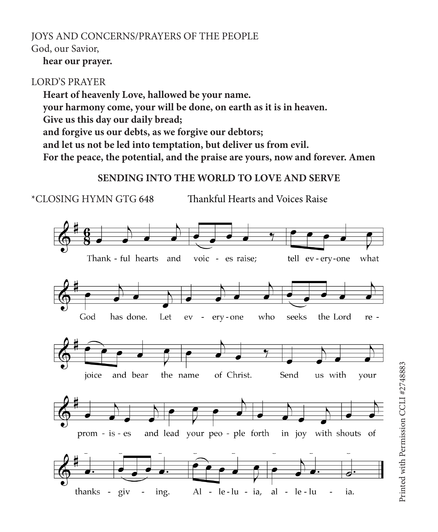# JOYS AND CONCERNS/PRAYERS OF THE PEOPLE

God, our Savior,

# **hear our prayer.**

# LORD'S PRAYER

**Heart of heavenly Love, hallowed be your name.**

**your harmony come, your will be done, on earth as it is in heaven.**

**Give us this day our daily bread;**

**and forgive us our debts, as we forgive our debtors;**

**and let us not be led into temptation, but deliver us from evil.**

**For the peace, the potential, and the praise are yours, now and forever. Amen**

# **SENDING INTO THE WORLD TO LOVE AND SERVE**

\*CLOSING HYMN GTG 648 Thankful Hearts and Voices Raise

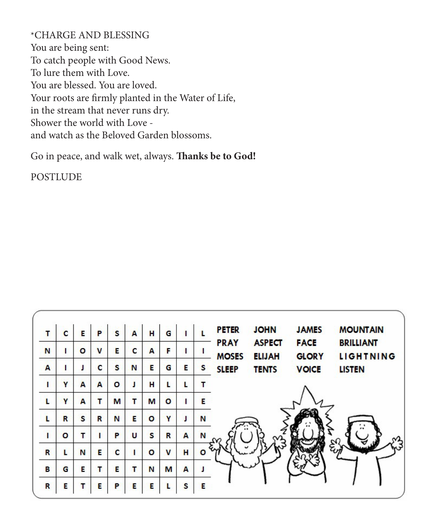\*CHARGE AND BLESSING You are being sent: To catch people with Good News. To lure them with Love. You are blessed. You are loved. Your roots are firmly planted in the Water of Life, in the stream that never runs dry. Shower the world with Love and watch as the Beloved Garden blossoms.

Go in peace, and walk wet, always. **Thanks be to God!**

POSTLUDE

| т                       | C | Е       | P | s | Α | н | G |   |   | <b>PETER</b><br><b>PRAY</b><br><b>MOSES</b><br><b>SLEEP</b> | <b>JOHN</b><br><b>ASPECT</b><br><b>ELIJAH</b><br><b>TENTS</b> | <b>JAMES</b><br><b>FACE</b><br><b>GLORY</b><br><b>VOICE</b> | <b>MOUNTAIN</b><br><b>BRILLIANT</b><br><b>LIGHTNING</b><br><b>LISTEN</b> |
|-------------------------|---|---------|---|---|---|---|---|---|---|-------------------------------------------------------------|---------------------------------------------------------------|-------------------------------------------------------------|--------------------------------------------------------------------------|
| N                       | ı | $\circ$ | v | Е | c | A | F |   |   |                                                             |                                                               |                                                             |                                                                          |
| A                       |   |         | c | s | N | Е | G | Е | s |                                                             |                                                               |                                                             |                                                                          |
| п                       | Y | A       | A | O | J | н | L | L | т |                                                             |                                                               |                                                             |                                                                          |
| L                       | Y | A       | т | М | т | M | O |   | Е |                                                             |                                                               |                                                             |                                                                          |
| L                       | R | s       | R | N | E | o | Y | J | N |                                                             |                                                               |                                                             |                                                                          |
| п                       | O | т       |   | P | U | s | R | A | N |                                                             |                                                               |                                                             |                                                                          |
| $\overline{\mathsf{R}}$ | L | N       | Е | c | г | ٥ | v | н | ٥ |                                                             |                                                               |                                                             |                                                                          |
| в                       | G | Е       | т | Е | т | N | М | A |   |                                                             |                                                               |                                                             |                                                                          |
| R                       | Е |         | Е | P | E | Е |   | S | E |                                                             |                                                               |                                                             |                                                                          |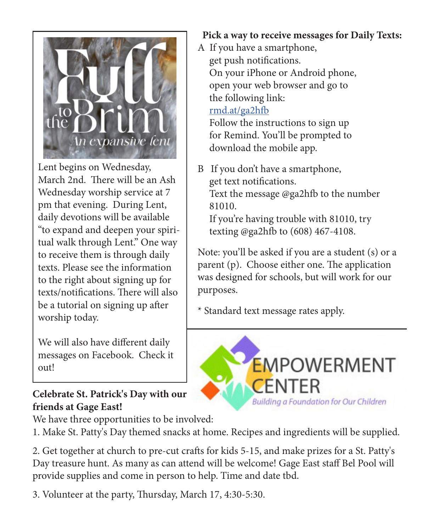

Lent begins on Wednesday, March 2nd. There will be an Ash Wednesday worship service at 7 pm that evening. During Lent, daily devotions will be available "to expand and deepen your spiritual walk through Lent." One way to receive them is through daily texts. Please see the information to the right about signing up for texts/notifications. There will also be a tutorial on signing up after worship today.

We will also have different daily messages on Facebook. Check it out!

# **Celebrate St. Patrick's Day with our friends at Gage East!**

We have three opportunities to be involved:

# 1. Make St. Patty's Day themed snacks at home. Recipes and ingredients will be supplied.

2. Get together at church to pre-cut crafts for kids 5-15, and make prizes for a St. Patty's Day treasure hunt. As many as can attend will be welcome! Gage East staff Bel Pool will provide supplies and come in person to help. Time and date tbd.

3. Volunteer at the party, Thursday, March 17, 4:30-5:30.

# **Pick a way to receive messages for Daily Texts:**

A If you have a smartphone, get push notifications. On your iPhone or Android phone, open your web browser and go to the following link: [rmd.at/ga2hfb](http://rmd.at/ga2hfb)

Follow the instructions to sign up for Remind. You'll be prompted to download the mobile app.

B If you don't have a smartphone, get text notifications. Text the message @ga2hfb to the number 81010. If you're having trouble with 81010, try texting @ga2hfb to (608) 467-4108.

Note: you'll be asked if you are a student (s) or a parent (p). Choose either one. The application was designed for schools, but will work for our purposes.

\* Standard text message rates apply.

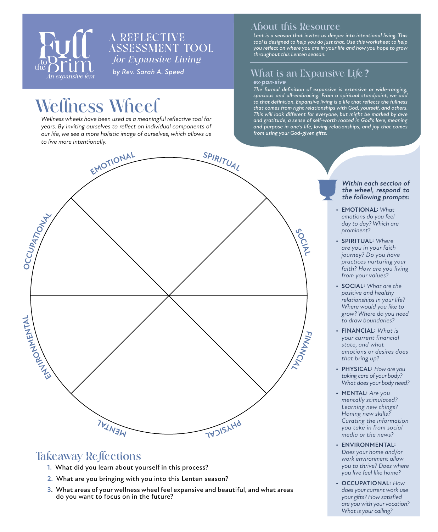

# **A REFLECTIVE ASSESSMENT TOOL** *for Expansive Living*

*by Rev. Sarah A. Speed*

# **Wellness Wheel**

*Wellness wheels have been used as a meaningful reflective tool for years. By inviting ourselves to reflect on individual components of our life, we see a more holistic image of ourselves, which allows us to live more intentionally.* 

# **About this Resource**

*Lent is a season that invites us deeper into intentional living. This tool is designed to help you do just that. Use this worksheet to help you reflect on where you are in your life and how you hope to grow throughout this Lenten season.*

### **What is an Expansive Life?** *ex·pan·sive*

The formal definition of expansive is extensive or wide-ranging,<br>spacious and all-embracing. From a spiritual standpoint, we add<br>to that definition. Expansive living is a life that reflects the fullness *that comes from right relationships with God, yourself, and others. This will look different for everyone, but might be marked by awe and gratitude, a sense of self-worth rooted in God's love, meaning and purpose in one's life, loving relationships, and joy that comes from using your God-given gifts.* 



# **Takeaway Reflections**

- **1.** What did you learn about yourself in this process?
- **2.** What are you bringing with you into this Lenten season?
- **3**. What areas of your wellness wheel feel expansive and beautiful, and what areas do you want to focus on in the future?

*Within each section of the wheel, respond to the following prompts:*

- **EMOTIONAL:** *What emotions do you feel day to day? Which are prominent?*
- **SPIRITUAL:** *Where are you in your faith journey? Do you have practices nurturing your faith? How are you living from your values?*
- **SOCIAL:** *What are the positive and healthy relationships in your life? Where would you like to grow? Where do you need to draw boundaries?*
- **FINANCIAL:** *What is your current financial state, and what emotions or desires does that bring up?*
- **PHYSICAL:** *How are you taking care of your body? What does your body need?*
- **MENTAL:** *Are you mentally stimulated? Learning new things? Honing new skills? Curating the information you take in from social media or the news?*
- **ENVIRONMENTAL:** *Does your home and/or work environment allow you to thrive? Does where you live feel like home?*
- **OCCUPATIONAL:** *How does your current work use your gifts? How satisfied are you with your vocation? What is your calling?*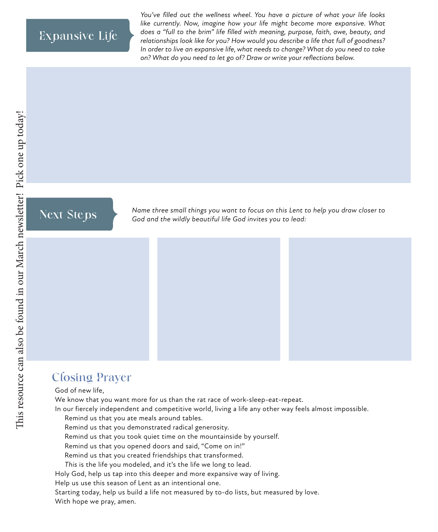# **Expansive Life**

*You've filled out the wellness wheel. You have a picture of what your life looks like currently. Now, imagine how your life might become more expansive. What does a "full to the brim" life filled with meaning, purpose, faith, awe, beauty, and relationships look like for you? How would you describe a life that full of goodness? In order to live an expansive life, what needs to change? What do you need to take on? What do you need to let go of? Draw or write your reflections below.*

# **Next Steps**

*Name three small things you want to focus on this Lent to help you draw closer to God and the wildly beautiful life God invites you to lead:*

# **Closing Prayer**

### God of new life,

We know that you want more for us than the rat race of work-sleep-eat-repeat.

In our fiercely independent and competitive world, living a life any other way feels almost impossible.

- Remind us that you ate meals around tables.
- Remind us that you demonstrated radical generosity.
- Remind us that you took quiet time on the mountainside by yourself.

Remind us that you opened doors and said, "Come on in!"

Remind us that you created friendships that transformed.

*This* is the life you modeled, and it's the life we long to lead.

Holy God, help us tap into this deeper and more expansive way of living.

Help us use this season of Lent as an intentional one.

Starting today, help us build a life not measured by to-do lists, but measured by love. With hope we pray, amen.